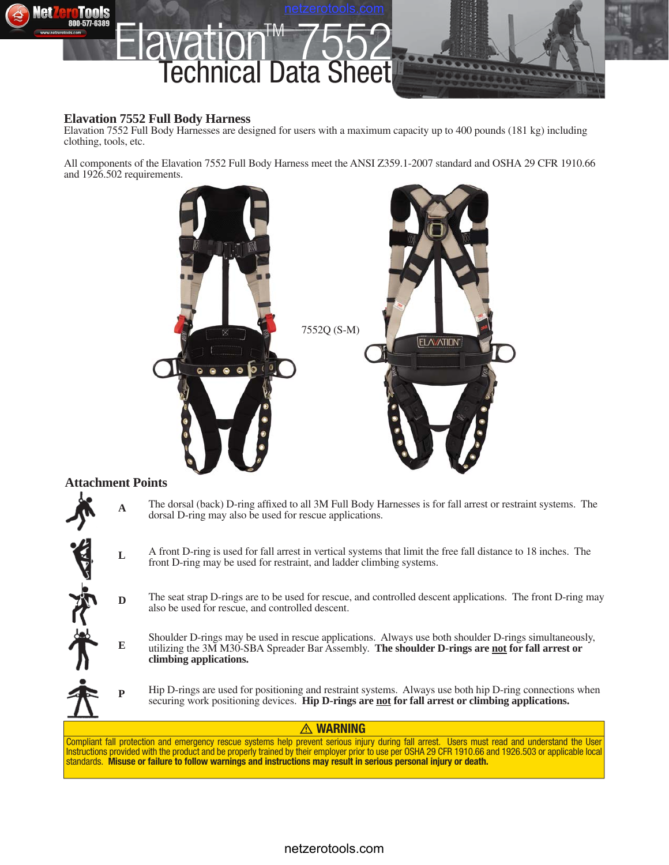

### **Elavation 7552 Full Body Harness**

Elavation 7552 Full Body Harnesses are designed for users with a maximum capacity up to 400 pounds (181 kg) including clothing, tools, etc.

All components of the Elavation 7552 Full Body Harness meet the ANSI Z359.1-2007 standard and OSHA 29 CFR 1910.66 and 1926.502 requirements.



#### **Attachment Points**

**D**

大学 小

**E**

**P**

- The dorsal (back) D-ring affixed to all 3M Full Body Harnesses is for fall arrest or restraint systems. The dorsal D-ring may also be used for rescue applications. **A**
- A front D-ring is used for fall arrest in vertical systems that limit the free fall distance to 18 inches. The front D-ring may be used for restraint, and ladder climbing systems. **L**
	- The seat strap D-rings are to be used for rescue, and controlled descent applications. The front D-ring may also be used for rescue, and controlled descent.
	- Shoulder D-rings may be used in rescue applications. Always use both shoulder D-rings simultaneously, utilizing the 3M M30-SBA Spreader Bar Assembly. **The shoulder D-rings are not for fall arrest or climbing applications.**
	- Hip D-rings are used for positioning and restraint systems. Always use both hip D-ring connections when securing work positioning devices. **Hip D-rings are not for fall arrest or climbing applications.**

#### **WARNING**

Compliant fall protection and emergency rescue systems help prevent serious injury during fall arrest. Users must read and understand the User Instructions provided with the product and be properly trained by their employer prior to use per OSHA 29 CFR 1910.66 and 1926.503 or applicable local standards. **Misuse or failure to follow warnings and instructions may result in serious personal injury or death.**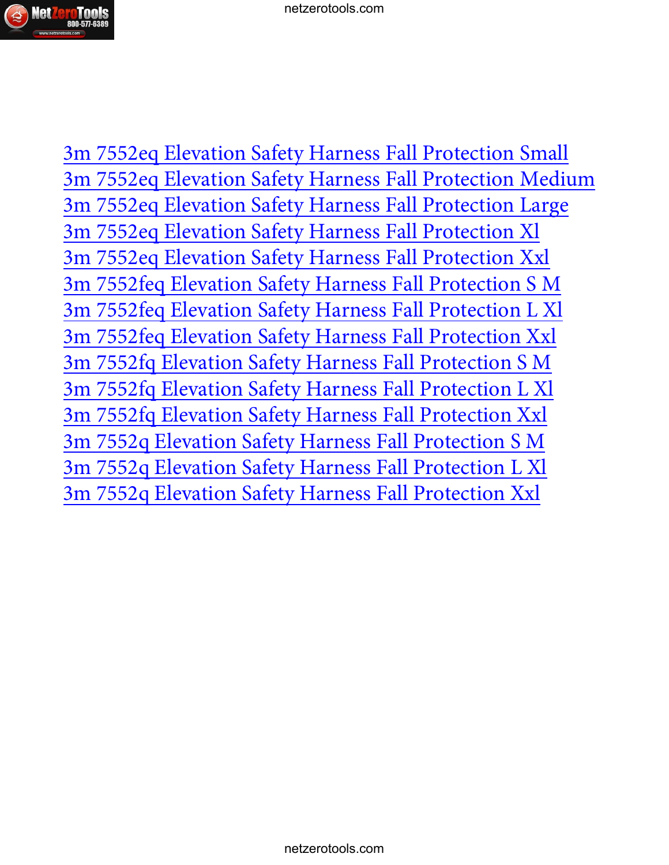

[3m 7552eq Elevation Safety Harness Fall Protection Small](http://www.netzerotools.com/3m-7552eq-elevation-safety-harness-fall-protection-small)  [3m 7552eq Elevation Safety Harness Fall Protection Medium](http://www.netzerotools.com/3m-7552eq-elevation-safety-harness-fall-protection-medium)  [3m 7552eq Elevation Safety Harness Fall Protection Large](http://www.netzerotools.com/3m-7552eq-elevation-safety-harness-fall-protection-large)  [3m 7552eq Elevation Safety Harness Fall Protection Xl](http://www.netzerotools.com/3m-7552eq-elevation-safety-harness-fall-protection-xl)  [3m 7552eq Elevation Safety Harness Fall Protection Xxl](http://www.netzerotools.com/3m-7552eq-elevation-safety-harness-fall-protection-xxl)  [3m 7552feq Elevation Safety Harness Fall Protection S M](http://www.netzerotools.com/3m-7552feq-elevation-safety-harness-fall-protection-s-m) [3m 7552feq Elevation Safety Harness Fall Protection L Xl](http://www.netzerotools.com/3m-7552feq-elevation-safety-harness-fall-protection-l-xl)  [3m 7552feq Elevation Safety Harness Fall Protection Xxl](http://www.netzerotools.com/3m-7552feq-elevation-safety-harness-fall-protection-xxl) [3m 7552fq Elevation Safety Harness Fall Protection S M](http://www.netzerotools.com/3m-7552fq-elevation-safety-harness-fall-protection-s-m) [3m 7552fq Elevation Safety Harness Fall Protection L Xl](http://www.netzerotools.com/3m-7552fq-elevation-safety-harness-fall-protection-l-xl) [3m 7552fq Elevation Safety Harness Fall Protection Xxl](http://www.netzerotools.com/3m-7552fq-elevation-safety-harness-fall-protection-xxl) [3m 7552q Elevation Safety Harness Fall Protection S M](http://www.netzerotools.com/3m-7552q-elevation-safety-harness-fall-protection-s-m) [3m 7552q Elevation Safety Harness Fall Protection L Xl](http://www.netzerotools.com/3m-7552q-elevation-safety-harness-fall-protection-l-xl) [3m 7552q Elevation Safety Harness Fall Protection Xxl](http://www.netzerotools.com/3m-7552q-elevation-safety-harness-fall-protection-xxl)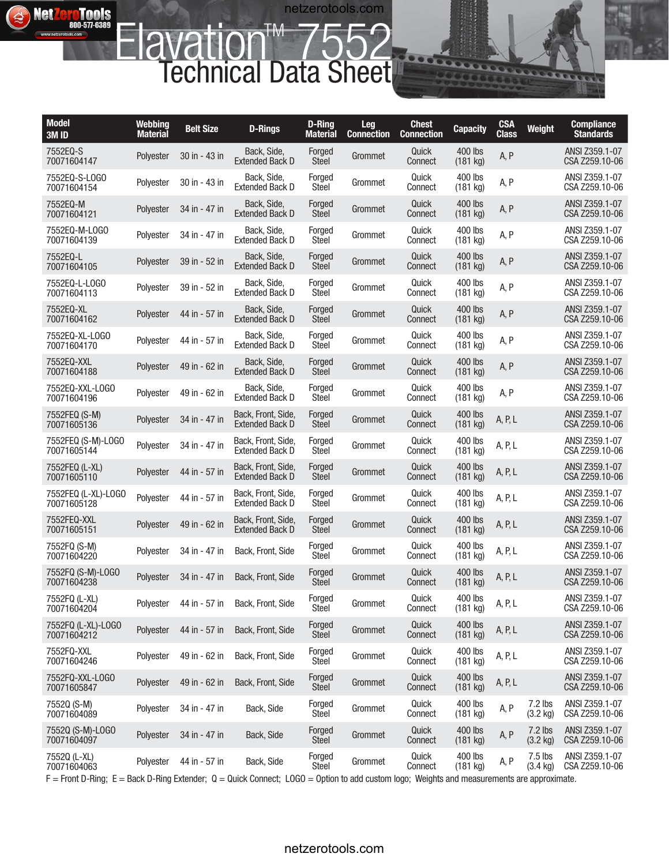# **Elavation™ 7552** Technical Data Sheet

**NetZeroTools** 

 $\blacktriangle$ 

netzerotools.com

| <b>Model</b><br>3M ID                                                                                                                                                     | <b>Webbing</b><br><b>Material</b> | <b>Belt Size</b> | <b>D-Rings</b>                               | D-Ring<br><b>Material</b> | Leg<br><b>Connection</b> | <b>Chest</b><br><b>Connection</b> | <b>Capacity</b>       | <b>CSA</b><br><b>Class</b> | <b>Weight</b>                   | <b>Compliance</b><br><b>Standards</b> |
|---------------------------------------------------------------------------------------------------------------------------------------------------------------------------|-----------------------------------|------------------|----------------------------------------------|---------------------------|--------------------------|-----------------------------------|-----------------------|----------------------------|---------------------------------|---------------------------------------|
| 7552EQ-S<br>70071604147                                                                                                                                                   | Polyester                         | 30 in - 43 in    | Back, Side,<br><b>Extended Back D</b>        | Forged<br><b>Steel</b>    | Grommet                  | Quick<br>Connect                  | 400 lbs<br>$(181$ kg) | A, P                       |                                 | ANSI Z359.1-07<br>CSA Z259.10-06      |
| 7552EQ-S-LOGO<br>70071604154                                                                                                                                              | Polyester                         | 30 in - 43 in    | Back, Side.<br><b>Extended Back D</b>        | Forged<br>Steel           | Grommet                  | Quick<br>Connect                  | 400 lbs<br>$(181$ kg) | A, P                       |                                 | ANSI Z359.1-07<br>CSA Z259.10-06      |
| 7552EQ-M<br>70071604121                                                                                                                                                   | Polyester                         | 34 in - 47 in    | Back, Side,<br><b>Extended Back D</b>        | Forged<br><b>Steel</b>    | Grommet                  | Quick<br>Connect                  | 400 lbs<br>(181 kg)   | A, P                       |                                 | ANSI Z359.1-07<br>CSA Z259.10-06      |
| 7552EQ-M-LOGO<br>70071604139                                                                                                                                              | Polyester                         | 34 in - 47 in    | Back, Side,<br><b>Extended Back D</b>        | Forged<br>Steel           | Grommet                  | Quick<br>Connect                  | 400 lbs<br>(181 kg)   | A, P                       |                                 | ANSI Z359.1-07<br>CSA Z259.10-06      |
| 7552EQ-L<br>70071604105                                                                                                                                                   | Polyester                         | 39 in - 52 in    | Back, Side,<br><b>Extended Back D</b>        | Forged<br><b>Steel</b>    | Grommet                  | Quick<br>Connect                  | 400 lbs<br>(181 kg)   | A, P                       |                                 | ANSI Z359.1-07<br>CSA Z259.10-06      |
| 7552EQ-L-LOGO<br>70071604113                                                                                                                                              | Polyester                         | 39 in - 52 in    | Back, Side.<br><b>Extended Back D</b>        | Forged<br><b>Steel</b>    | Grommet                  | Quick<br>Connect                  | 400 lbs<br>(181 kg)   | A, P                       |                                 | ANSI Z359.1-07<br>CSA Z259.10-06      |
| 7552EQ-XL<br>70071604162                                                                                                                                                  | Polyester                         | 44 in - 57 in    | Back, Side.<br><b>Extended Back D</b>        | Forged<br><b>Steel</b>    | Grommet                  | Quick<br>Connect                  | 400 lbs<br>(181 kg)   | A, P                       |                                 | ANSI Z359.1-07<br>CSA Z259.10-06      |
| 7552EQ-XL-LOGO<br>70071604170                                                                                                                                             | Polyester                         | 44 in - 57 in    | Back, Side.<br><b>Extended Back D</b>        | Forged<br><b>Steel</b>    | Grommet                  | Quick<br>Connect                  | 400 lbs<br>(181 kg)   | A, P                       |                                 | ANSI Z359.1-07<br>CSA Z259.10-06      |
| 7552EQ-XXL<br>70071604188                                                                                                                                                 | Polyester                         | 49 in - 62 in    | Back, Side,<br><b>Extended Back D</b>        | Forged<br><b>Steel</b>    | Grommet                  | Quick<br>Connect                  | 400 lbs<br>(181 kg)   | A, P                       |                                 | ANSI Z359.1-07<br>CSA Z259.10-06      |
| 7552EQ-XXL-LOGO<br>70071604196                                                                                                                                            | Polyester                         | 49 in - 62 in    | Back, Side.<br><b>Extended Back D</b>        | Forged<br>Steel           | Grommet                  | Quick<br>Connect                  | 400 lbs<br>(181 kg)   | A, P                       |                                 | ANSI Z359.1-07<br>CSA Z259.10-06      |
| 7552FEQ (S-M)<br>70071605136                                                                                                                                              | Polyester                         | 34 in - 47 in    | Back, Front, Side,<br><b>Extended Back D</b> | Forged<br><b>Steel</b>    | Grommet                  | Quick<br>Connect                  | 400 lbs<br>(181 kg)   | A, P, L                    |                                 | ANSI Z359.1-07<br>CSA Z259.10-06      |
| 7552FEQ (S-M)-LOGO<br>70071605144                                                                                                                                         | Polyester                         | 34 in - 47 in    | Back, Front, Side,<br><b>Extended Back D</b> | Forged<br>Steel           | Grommet                  | Quick<br>Connect                  | 400 lbs<br>(181 kg)   | A, P, L                    |                                 | ANSI Z359.1-07<br>CSA Z259.10-06      |
| 7552FEQ (L-XL)<br>70071605110                                                                                                                                             | Polyester                         | 44 in - 57 in    | Back, Front, Side,<br><b>Extended Back D</b> | Forged<br><b>Steel</b>    | Grommet                  | Quick<br>Connect                  | 400 lbs<br>$(181$ kg) | A, P, L                    |                                 | ANSI Z359.1-07<br>CSA Z259.10-06      |
| 7552FEQ (L-XL)-LOGO<br>70071605128                                                                                                                                        | Polyester                         | 44 in - 57 in    | Back, Front, Side,<br><b>Extended Back D</b> | Forged<br>Steel           | Grommet                  | Quick<br>Connect                  | 400 lbs<br>(181 kg)   | A, P, L                    |                                 | ANSI Z359.1-07<br>CSA Z259.10-06      |
| 7552FEQ-XXL<br>70071605151                                                                                                                                                | Polyester                         | 49 in - 62 in    | Back, Front, Side,<br><b>Extended Back D</b> | Forged<br><b>Steel</b>    | Grommet                  | Quick<br>Connect                  | 400 lbs<br>(181 kg)   | A, P, L                    |                                 | ANSI Z359.1-07<br>CSA Z259.10-06      |
| 7552FQ (S-M)<br>70071604220                                                                                                                                               | Polvester                         | 34 in - 47 in    | Back, Front, Side                            | Forged<br>Steel           | Grommet                  | Quick<br>Connect                  | 400 lbs<br>$(181$ kg) | A, P, L                    |                                 | ANSI Z359.1-07<br>CSA Z259.10-06      |
| 7552FQ (S-M)-LOGO<br>70071604238                                                                                                                                          | Polyester                         | 34 in - 47 in    | Back, Front, Side                            | Forged<br><b>Steel</b>    | Grommet                  | Quick<br>Connect                  | 400 lbs<br>(181 kg)   | A, P, L                    |                                 | ANSI Z359.1-07<br>CSA Z259.10-06      |
| 7552FQ (L-XL)<br>70071604204                                                                                                                                              |                                   |                  | Polyester 44 in - 57 in Back, Front, Side    | Forged<br><b>Steel</b>    | Grommet                  | Quick<br>Connect                  | 400 lbs<br>(181 kg)   | A, P, L                    |                                 | ANSI Z359.1-07<br>CSA Z259.10-06      |
| 7552FQ (L-XL)-LOGO<br>70071604212                                                                                                                                         | Polyester                         | 44 in - 57 in    | Back, Front, Side                            | Forged<br>Steel           | Grommet                  | Quick<br>Connect                  | 400 lbs<br>(181 kg)   | A, P, L                    |                                 | ANSI Z359.1-07<br>CSA Z259.10-06      |
| 7552FQ-XXL<br>70071604246                                                                                                                                                 | Polyester                         | 49 in - 62 in    | Back, Front, Side                            | Forged<br>Steel           | Grommet                  | Quick<br>Connect                  | 400 lbs<br>(181 kg)   | A, P, L                    |                                 | ANSI Z359.1-07<br>CSA Z259.10-06      |
| 7552FQ-XXL-L0G0<br>70071605847                                                                                                                                            | Polyester                         | 49 in - 62 in    | Back, Front, Side                            | Forged<br>Steel           | Grommet                  | Quick<br>Connect                  | 400 lbs<br>(181 kg)   | A, P, L                    |                                 | ANSI Z359.1-07<br>CSA Z259.10-06      |
| 7552Q (S-M)<br>70071604089                                                                                                                                                | Polyester                         | 34 in - 47 in    | Back, Side                                   | Forged<br>Steel           | Grommet                  | Quick<br>Connect                  | 400 lbs<br>(181 kg)   | A, P                       | $7.2$ lbs<br>$(3.2 \text{ kg})$ | ANSI Z359.1-07<br>CSA Z259.10-06      |
| 7552Q (S-M)-LOGO<br>70071604097                                                                                                                                           | Polyester                         | 34 in - 47 in    | Back, Side                                   | Forged<br>Steel           | Grommet                  | Quick<br>Connect                  | 400 lbs<br>(181 kg)   | A, P                       | $7.2$ lbs<br>$(3.2 \text{ kg})$ | ANSI Z359.1-07<br>CSA Z259.10-06      |
| 7552Q (L-XL)<br>70071604063<br>F = Front D-Ring; E = Back D-Ring Extender; Q = Quick Connect; LOGO = Option to add custom logo; Weights and measurements are approximate. | Polyester                         | 44 in - 57 in    | Back, Side                                   | Forged<br>Steel           | Grommet                  | Quick<br>Connect                  | 400 lbs<br>$(181$ kg) | A, P                       | $7.5$ lbs<br>$(3.4 \text{ kg})$ | ANSI Z359.1-07<br>CSA Z259.10-06      |

## netzerotools.com